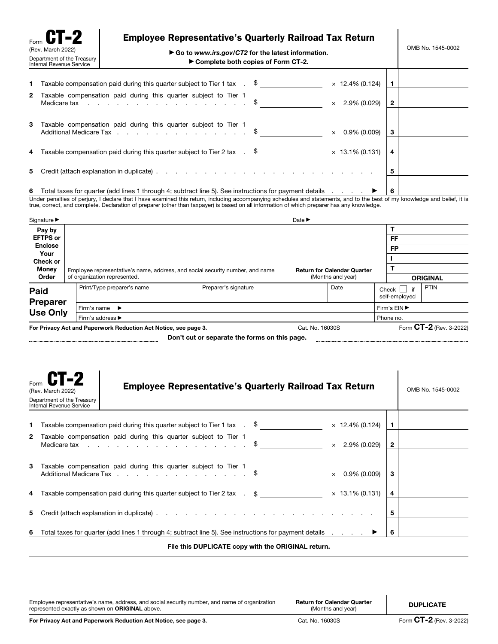| Form $CT-2$<br>(Rev. March 2022)<br>Department of the Treasury<br>Internal Revenue Service |  | <b>Employee Representative's Quarterly Railroad Tax Return</b><br>$\triangleright$ Go to www.irs.gov/CT2 for the latest information.<br>Complete both copies of Form CT-2.                                                                                                                                                                          |  |  |                             | OMB No. 1545-0002 |  |
|--------------------------------------------------------------------------------------------|--|-----------------------------------------------------------------------------------------------------------------------------------------------------------------------------------------------------------------------------------------------------------------------------------------------------------------------------------------------------|--|--|-----------------------------|-------------------|--|
|                                                                                            |  | <b>1</b> Taxable compensation paid during this quarter subject to Tier 1 tax $\,$ . $\,$ $\,$ $\,$ $\,$<br>2 Taxable compensation paid during this quarter subject to Tier 1                                                                                                                                                                        |  |  | $\times$ 12.4% (0.124)      |                   |  |
|                                                                                            |  | Medicare tax \$                                                                                                                                                                                                                                                                                                                                     |  |  | $\times$ 2.9% (0.029)       | $\mathbf{2}$      |  |
| 3                                                                                          |  | Taxable compensation paid during this quarter subject to Tier 1<br>Additional Medicare Tax \$                                                                                                                                                                                                                                                       |  |  | $0.9\%$ (0.009)<br>$\times$ | 3                 |  |
|                                                                                            |  | 4 Taxable compensation paid during this quarter subject to Tier 2 tax $\,$ . $\,$ $\,$ $\,$ $\,$ $\,$                                                                                                                                                                                                                                               |  |  | $\times$ 13.1% (0.131)      | 4                 |  |
| 5.                                                                                         |  |                                                                                                                                                                                                                                                                                                                                                     |  |  |                             | 5                 |  |
|                                                                                            |  | $\overline{a}$ , $\overline{a}$ , $\overline{a}$ , $\overline{a}$ , $\overline{a}$ , $\overline{a}$ , $\overline{a}$ , $\overline{a}$ , $\overline{a}$ , $\overline{a}$ , $\overline{a}$ , $\overline{a}$ , $\overline{a}$ , $\overline{a}$ , $\overline{a}$ , $\overline{a}$ , $\overline{a}$ , $\overline{a}$ , $\overline{a}$ , $\overline{a}$ , |  |  |                             |                   |  |

6 Total taxes for quarter (add lines 1 through 4; subtract line 5). See instructions for payment details  $\ldots$   $\blacktriangleright$  6 Under penalties of perjury, I declare that I have examined this return, including accompanying schedules and statements, and to the best of my knowledge and belief, it is<br>true, correct, and complete. Declaration of prepare

| Signature $\blacktriangleright$    |                  | Date $\blacktriangleright$                                      |                                                                               |      |                                             |                         |  |                 |  |  |
|------------------------------------|------------------|-----------------------------------------------------------------|-------------------------------------------------------------------------------|------|---------------------------------------------|-------------------------|--|-----------------|--|--|
| Pay by                             |                  |                                                                 |                                                                               |      |                                             |                         |  |                 |  |  |
| <b>EFTPS or</b>                    |                  |                                                                 |                                                                               |      |                                             |                         |  | FF<br><b>FP</b> |  |  |
| Enclose<br>Your                    |                  |                                                                 |                                                                               |      |                                             |                         |  |                 |  |  |
| Check or                           |                  |                                                                 |                                                                               |      |                                             |                         |  |                 |  |  |
| <b>Money</b>                       |                  |                                                                 | Employee representative's name, address, and social security number, and name |      | <b>Return for Calendar Quarter</b>          |                         |  |                 |  |  |
| Order                              |                  | of organization represented.                                    | (Months and year)                                                             |      |                                             | <b>ORIGINAL</b>         |  |                 |  |  |
| Paid                               |                  | Print/Type preparer's name                                      |                                                                               | Date | PTIN<br>Check $\Box$<br>if<br>self-employed |                         |  |                 |  |  |
| <b>Preparer</b><br><b>Use Only</b> |                  | Firm's name<br>$\ddot{\phantom{1}}$                             |                                                                               |      |                                             | Firm's EIN ▶            |  |                 |  |  |
|                                    | Firm's address ▶ |                                                                 |                                                                               |      |                                             |                         |  | Phone no.       |  |  |
|                                    |                  | For Privacy Act and Paperwork Reduction Act Notice, see page 3. | Cat. No. 16030S                                                               |      |                                             | Form CT-2 (Rev. 3-2022) |  |                 |  |  |

Don't cut or separate the forms on this page.

|                                                    | <b>CT-2</b><br>(Rev. March 2022)<br>Department of the Treasury<br>Internal Revenue Service | <b>Employee Representative's Quarterly Railroad Tax Return</b>                                                                                                                                                                                                                                    |                        |              | OMB No. 1545-0002 |  |
|----------------------------------------------------|--------------------------------------------------------------------------------------------|---------------------------------------------------------------------------------------------------------------------------------------------------------------------------------------------------------------------------------------------------------------------------------------------------|------------------------|--------------|-------------------|--|
| 1.                                                 |                                                                                            | Taxable compensation paid during this quarter subject to Tier 1 tax $\therefore$ \$                                                                                                                                                                                                               | $\times$ 12.4% (0.124) | 1.           |                   |  |
| $\mathbf{2}$                                       |                                                                                            | Taxable compensation paid during this quarter subject to Tier 1<br>Medicare tax response to the contract of the set of the set of the set of the set of the set of the set of the set of the set of the set of the set of the set of the set of the set of the set of the set of the set of the s | $\times$ 2.9% (0.029)  | $\mathbf{2}$ |                   |  |
| 3                                                  |                                                                                            | Taxable compensation paid during this quarter subject to Tier 1<br>Additional Medicare Tax \$                                                                                                                                                                                                     | $\times$ 0.9% (0.009)  | 3            |                   |  |
| 4                                                  |                                                                                            | Taxable compensation paid during this quarter subject to Tier 2 tax $\quad \text{.} \quad$ \$                                                                                                                                                                                                     | $\times$ 13.1% (0.131) | 4            |                   |  |
| 5.                                                 |                                                                                            |                                                                                                                                                                                                                                                                                                   |                        | 5            |                   |  |
| 6                                                  |                                                                                            | Total taxes for quarter (add lines 1 through 4; subtract line 5). See instructions for payment details $\blacktriangleright$                                                                                                                                                                      |                        | 6            |                   |  |
| File this DUPLICATE copy with the ORIGINAL return. |                                                                                            |                                                                                                                                                                                                                                                                                                   |                        |              |                   |  |

Employee representative's name, address, and social security number, and name of organization<br>represented exactly as shown on **ORIGINAL** above.

Return for Calendar Quarter m for Calendar Quarter **DUPLICATE**<br>(Months and year)

 $\mathbf{I}$ 

 $\blacksquare$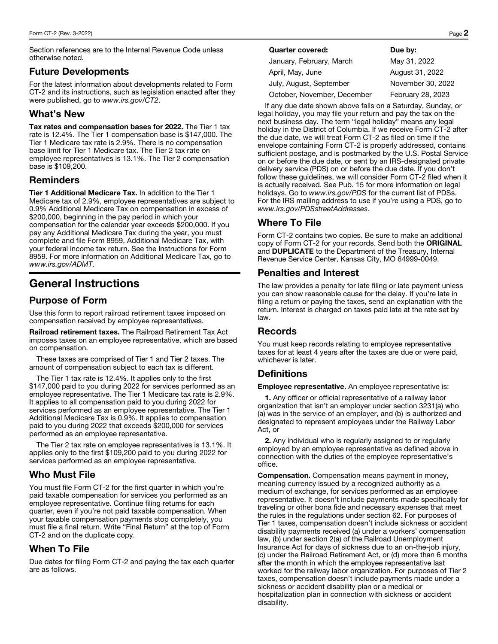Section references are to the Internal Revenue Code unless otherwise noted.

#### Future Developments

For the latest information about developments related to Form CT-2 and its instructions, such as legislation enacted after they were published, go to *www.irs.gov/CT2*.

#### What's New

Tax rates and compensation bases for 2022. The Tier 1 tax rate is 12.4%. The Tier 1 compensation base is \$147,000. The Tier 1 Medicare tax rate is 2.9%. There is no compensation base limit for Tier 1 Medicare tax. The Tier 2 tax rate on employee representatives is 13.1%. The Tier 2 compensation base is \$109,200.

## Reminders

Tier 1 Additional Medicare Tax. In addition to the Tier 1 Medicare tax of 2.9%, employee representatives are subject to 0.9% Additional Medicare Tax on compensation in excess of \$200,000, beginning in the pay period in which your compensation for the calendar year exceeds \$200,000. If you pay any Additional Medicare Tax during the year, you must complete and file Form 8959, Additional Medicare Tax, with your federal income tax return. See the Instructions for Form 8959. For more information on Additional Medicare Tax, go to *www.irs.gov/ADMT*.

# General Instructions

## Purpose of Form

Use this form to report railroad retirement taxes imposed on compensation received by employee representatives.

Railroad retirement taxes. The Railroad Retirement Tax Act imposes taxes on an employee representative, which are based on compensation.

These taxes are comprised of Tier 1 and Tier 2 taxes. The amount of compensation subject to each tax is different.

The Tier 1 tax rate is 12.4%. It applies only to the first \$147,000 paid to you during 2022 for services performed as an employee representative. The Tier 1 Medicare tax rate is 2.9%. It applies to all compensation paid to you during 2022 for services performed as an employee representative. The Tier 1 Additional Medicare Tax is 0.9%. It applies to compensation paid to you during 2022 that exceeds \$200,000 for services performed as an employee representative.

The Tier 2 tax rate on employee representatives is 13.1%. It applies only to the first \$109,200 paid to you during 2022 for services performed as an employee representative.

## Who Must File

You must file Form CT-2 for the first quarter in which you're paid taxable compensation for services you performed as an employee representative. Continue filing returns for each quarter, even if you're not paid taxable compensation. When your taxable compensation payments stop completely, you must file a final return. Write "Final Return" at the top of Form CT-2 and on the duplicate copy.

## When To File

Due dates for filing Form CT-2 and paying the tax each quarter are as follows.

| <b>Quarter covered:</b> | Due by: |
|-------------------------|---------|
|-------------------------|---------|

| January, February, March    | May 31, 2022      |
|-----------------------------|-------------------|
| April, May, June            | August 31, 2022   |
| July, August, September     | November 30, 2022 |
| October, November, December | February 28, 2023 |
|                             |                   |

If any due date shown above falls on a Saturday, Sunday, or legal holiday, you may file your return and pay the tax on the next business day. The term "legal holiday" means any legal holiday in the District of Columbia. If we receive Form CT-2 after the due date, we will treat Form CT-2 as filed on time if the envelope containing Form CT-2 is properly addressed, contains sufficient postage, and is postmarked by the U.S. Postal Service on or before the due date, or sent by an IRS-designated private delivery service (PDS) on or before the due date. If you don't follow these guidelines, we will consider Form CT-2 filed when it is actually received. See Pub. 15 for more information on legal holidays. Go to *www.irs.gov/PDS* for the current list of PDSs. For the IRS mailing address to use if you're using a PDS, go to *www.irs.gov/PDSstreetAddresses*.

## Where To File

Form CT-2 contains two copies. Be sure to make an additional copy of Form CT-2 for your records. Send both the ORIGINAL and DUPLICATE to the Department of the Treasury, Internal Revenue Service Center, Kansas City, MO 64999-0049.

#### Penalties and Interest

The law provides a penalty for late filing or late payment unless you can show reasonable cause for the delay. If you're late in filing a return or paying the taxes, send an explanation with the return. Interest is charged on taxes paid late at the rate set by law.

## **Records**

You must keep records relating to employee representative taxes for at least 4 years after the taxes are due or were paid, whichever is later.

## **Definitions**

Employee representative. An employee representative is:

1. Any officer or official representative of a railway labor organization that isn't an employer under section 3231(a) who (a) was in the service of an employer, and (b) is authorized and designated to represent employees under the Railway Labor Act, or

2. Any individual who is regularly assigned to or regularly employed by an employee representative as defined above in connection with the duties of the employee representative's office.

Compensation. Compensation means payment in money, meaning currency issued by a recognized authority as a medium of exchange, for services performed as an employee representative. It doesn't include payments made specifically for traveling or other bona fide and necessary expenses that meet the rules in the regulations under section 62. For purposes of Tier 1 taxes, compensation doesn't include sickness or accident disability payments received (a) under a workers' compensation law, (b) under section 2(a) of the Railroad Unemployment Insurance Act for days of sickness due to an on-the-job injury, (c) under the Railroad Retirement Act, or (d) more than 6 months after the month in which the employee representative last worked for the railway labor organization. For purposes of Tier 2 taxes, compensation doesn't include payments made under a sickness or accident disability plan or a medical or hospitalization plan in connection with sickness or accident disability.